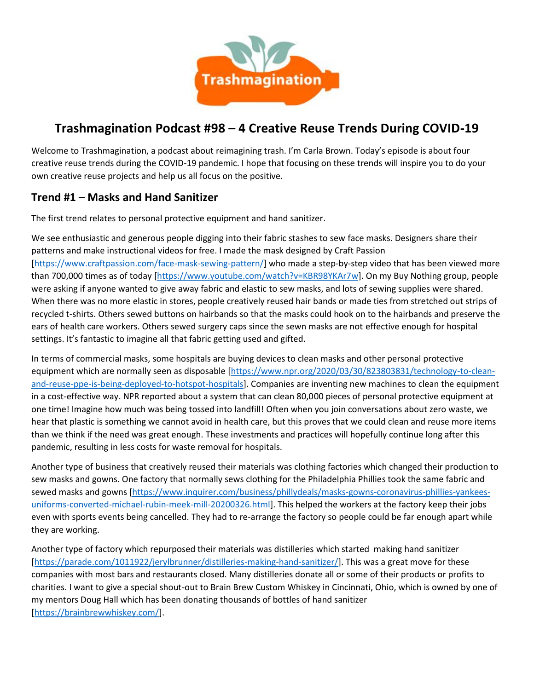

# **Trashmagination Podcast #98 – 4 Creative Reuse Trends During COVID-19**

Welcome to Trashmagination, a podcast about reimagining trash. I'm Carla Brown. Today's episode is about four creative reuse trends during the COVID-19 pandemic. I hope that focusing on these trends will inspire you to do your own creative reuse projects and help us all focus on the positive.

#### **Trend #1 – Masks and Hand Sanitizer**

The first trend relates to personal protective equipment and hand sanitizer.

We see enthusiastic and generous people digging into their fabric stashes to sew face masks. Designers share their patterns and make instructional videos for free. I made the mask designed by Craft Passion [https://www.craftpassion.com/face-mask-sewing-pattern/] who made a step-by-step video that has been viewed more than 700,000 times as of today [https://www.youtube.com/watch?v=KBR98YKAr7w]. On my Buy Nothing group, people were asking if anyone wanted to give away fabric and elastic to sew masks, and lots of sewing supplies were shared. When there was no more elastic in stores, people creatively reused hair bands or made ties from stretched out strips of recycled t-shirts. Others sewed buttons on hairbands so that the masks could hook on to the hairbands and preserve the ears of health care workers. Others sewed surgery caps since the sewn masks are not effective enough for hospital settings. It's fantastic to imagine all that fabric getting used and gifted.

In terms of commercial masks, some hospitals are buying devices to clean masks and other personal protective equipment which are normally seen as disposable [https://www.npr.org/2020/03/30/823803831/technology-to-cleanand-reuse-ppe-is-being-deployed-to-hotspot-hospitals]. Companies are inventing new machines to clean the equipment in a cost-effective way. NPR reported about a system that can clean 80,000 pieces of personal protective equipment at one time! Imagine how much was being tossed into landfill! Often when you join conversations about zero waste, we hear that plastic is something we cannot avoid in health care, but this proves that we could clean and reuse more items than we think if the need was great enough. These investments and practices will hopefully continue long after this pandemic, resulting in less costs for waste removal for hospitals.

Another type of business that creatively reused their materials was clothing factories which changed their production to sew masks and gowns. One factory that normally sews clothing for the Philadelphia Phillies took the same fabric and sewed masks and gowns [https://www.inquirer.com/business/phillydeals/masks-gowns-coronavirus-phillies-yankees uniforms-converted-michael-rubin-meek-mill-20200326.html]. This helped the workers at the factory keep their jobs even with sports events being cancelled. They had to re-arrange the factory so people could be far enough apart while they are working.

Another type of factory which repurposed their materials was distilleries which started making hand sanitizer [https://parade.com/1011922/jerylbrunner/distilleries-making-hand-sanitizer/]. This was a great move for these companies with most bars and restaurants closed. Many distilleries donate all or some of their products or profits to charities. I want to give a special shout-out to Brain Brew Custom Whiskey in Cincinnati, Ohio, which is owned by one of my mentors Doug Hall which has been donating thousands of bottles of hand sanitizer [https://brainbrewwhiskey.com/].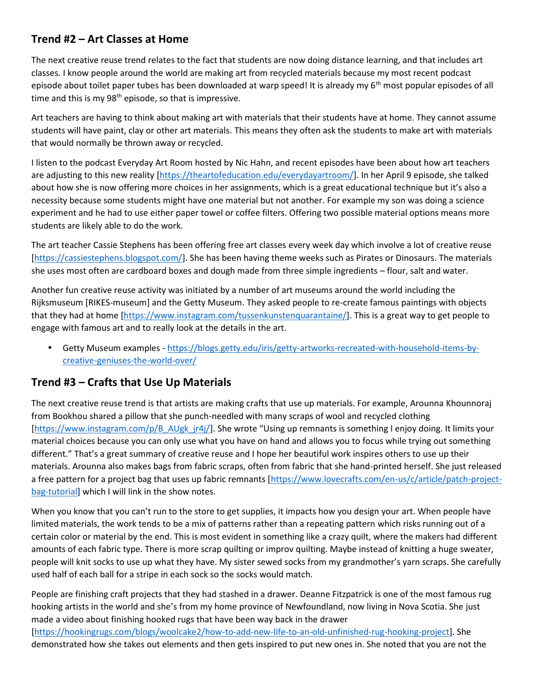#### **Trend #2 – Art Classes at Home**

The next creative reuse trend relates to the fact that students are now doing distance learning, and that includes art classes. I know people around the world are making art from recycled materials because my most recent podcast episode about toilet paper tubes has been downloaded at warp speed! It is already my 6<sup>th</sup> most popular episodes of all time and this is my  $98<sup>th</sup>$  episode, so that is impressive.

Art teachers are having to think about making art with materials that their students have at home. They cannot assume students will have paint, clay or other art materials. This means they often ask the students to make art with materials that would normally be thrown away or recycled.

I listen to the podcast Everyday Art Room hosted by Nic Hahn, and recent episodes have been about how art teachers are adjusting to this new reality [https://theartofeducation.edu/everydayartroom/]. In her April 9 episode, she talked about how she is now offering more choices in her assignments, which is a great educational technique but it's also a necessity because some students might have one material but not another. For example my son was doing a science experiment and he had to use either paper towel or coffee filters. Offering two possible material options means more students are likely able to do the work.

The art teacher Cassie Stephens has been offering free art classes every week day which involve a lot of creative reuse [https://cassiestephens.blogspot.com/]. She has been having theme weeks such as Pirates or Dinosaurs. The materials she uses most often are cardboard boxes and dough made from three simple ingredients – flour, salt and water.

Another fun creative reuse activity was initiated by a number of art museums around the world including the Rijksmuseum [RIKES-museum] and the Getty Museum. They asked people to re-create famous paintings with objects that they had at home [https://www.instagram.com/tussenkunstenquarantaine/]. This is a great way to get people to engage with famous art and to really look at the details in the art.

 Getty Museum examples - https://blogs.getty.edu/iris/getty-artworks-recreated-with-household-items-by creative-geniuses-the-world-over/

#### **Trend #3 – Crafts that Use Up Materials**

The next creative reuse trend is that artists are making crafts that use up materials. For example, Arounna Khounnoraj from Bookhou shared a pillow that she punch-needled with many scraps of wool and recycled clothing [https://www.instagram.com/p/B\_AUgk\_jr4j/]. She wrote "Using up remnants is something I enjoy doing. It limits your material choices because you can only use what you have on hand and allows you to focus while trying out something different." That's a great summary of creative reuse and I hope her beautiful work inspires others to use up their materials. Arounna also makes bags from fabric scraps, often from fabric that she hand-printed herself. She just released a free pattern for a project bag that uses up fabric remnants [https://www.lovecrafts.com/en-us/c/article/patch-projectbag-tutorial] which I will link in the show notes.

When you know that you can't run to the store to get supplies, it impacts how you design your art. When people have limited materials, the work tends to be a mix of patterns rather than a repeating pattern which risks running out of a certain color or material by the end. This is most evident in something like a crazy quilt, where the makers had different amounts of each fabric type. There is more scrap quilting or improv quilting. Maybe instead of knitting a huge sweater, people will knit socks to use up what they have. My sister sewed socks from my grandmother's yarn scraps. She carefully used half of each ball for a stripe in each sock so the socks would match.

People are finishing craft projects that they had stashed in a drawer. Deanne Fitzpatrick is one of the most famous rug hooking artists in the world and she's from my home province of Newfoundland, now living in Nova Scotia. She just made a video about finishing hooked rugs that have been way back in the drawer [https://hookingrugs.com/blogs/woolcake2/how-to-add-new-life-to-an-old-unfinished-rug-hooking-project]. She demonstrated how she takes out elements and then gets inspired to put new ones in. She noted that you are not the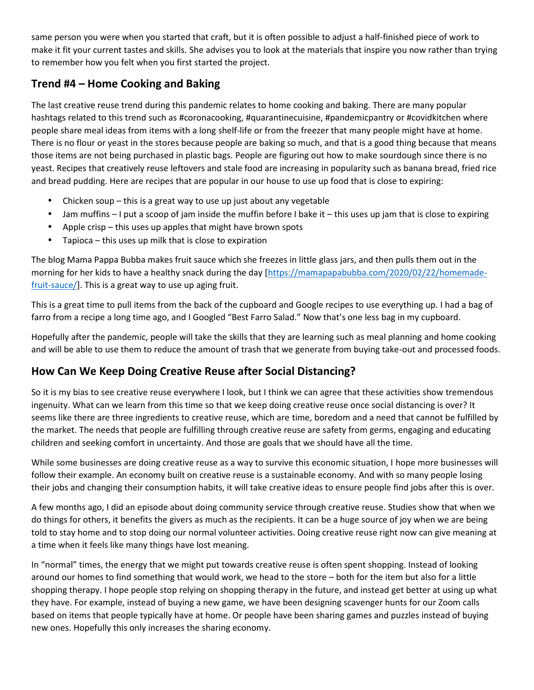same person you were when you started that craft, but it is often possible to adjust a half-finished piece of work to make it fit your current tastes and skills. She advises you to look at the materials that inspire you now rather than trying to remember how you felt when you first started the project.

#### **Trend #4 – Home Cooking and Baking**

The last creative reuse trend during this pandemic relates to home cooking and baking. There are many popular hashtags related to this trend such as #coronacooking, #quarantinecuisine, #pandemicpantry or #covidkitchen where people share meal ideas from items with a long shelf-life or from the freezer that many people might have at home. There is no flour or yeast in the stores because people are baking so much, and that is a good thing because that means those items are not being purchased in plastic bags. People are figuring out how to make sourdough since there is no yeast. Recipes that creatively reuse leftovers and stale food are increasing in popularity such as banana bread, fried rice and bread pudding. Here are recipes that are popular in our house to use up food that is close to expiring:

- Chicken soup this is a great way to use up just about any vegetable
- Jam muffins I put a scoop of jam inside the muffin before I bake it this uses up jam that is close to expiring
- Apple crisp this uses up apples that might have brown spots
- Tapioca this uses up milk that is close to expiration

The blog Mama Pappa Bubba makes fruit sauce which she freezes in little glass jars, and then pulls them out in the morning for her kids to have a healthy snack during the day [https://mamapapabubba.com/2020/02/22/homemadefruit-sauce/]. This is a great way to use up aging fruit.

This is a great time to pull items from the back of the cupboard and Google recipes to use everything up. I had a bag of farro from a recipe a long time ago, and I Googled "Best Farro Salad." Now that's one less bag in my cupboard.

Hopefully after the pandemic, people will take the skills that they are learning such as meal planning and home cooking and will be able to use them to reduce the amount of trash that we generate from buying take-out and processed foods.

### **How Can We Keep Doing Creative Reuse after Social Distancing?**

So it is my bias to see creative reuse everywhere I look, but I think we can agree that these activities show tremendous ingenuity. What can we learn from this time so that we keep doing creative reuse once social distancing is over? It seems like there are three ingredients to creative reuse, which are time, boredom and a need that cannot be fulfilled by the market. The needs that people are fulfilling through creative reuse are safety from germs, engaging and educating children and seeking comfort in uncertainty. And those are goals that we should have all the time.

While some businesses are doing creative reuse as a way to survive this economic situation, I hope more businesses will follow their example. An economy built on creative reuse is a sustainable economy. And with so many people losing their jobs and changing their consumption habits, it will take creative ideas to ensure people find jobs after this is over.

A few months ago, I did an episode about doing community service through creative reuse. Studies show that when we do things for others, it benefits the givers as much as the recipients. It can be a huge source of joy when we are being told to stay home and to stop doing our normal volunteer activities. Doing creative reuse right now can give meaning at a time when it feels like many things have lost meaning.

In "normal" times, the energy that we might put towards creative reuse is often spent shopping. Instead of looking around our homes to find something that would work, we head to the store – both for the item but also for a little shopping therapy. I hope people stop relying on shopping therapy in the future, and instead get better at using up what they have. For example, instead of buying a new game, we have been designing scavenger hunts for our Zoom calls based on items that people typically have at home. Or people have been sharing games and puzzles instead of buying new ones. Hopefully this only increases the sharing economy.